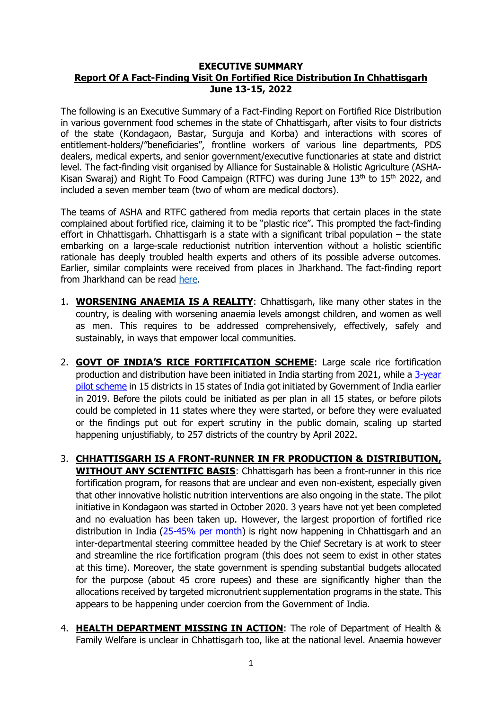## **EXECUTIVE SUMMARY Report Of A Fact-Finding Visit On Fortified Rice Distribution In Chhattisgarh June 13-15, 2022**

The following is an Executive Summary of a Fact-Finding Report on Fortified Rice Distribution in various government food schemes in the state of Chhattisgarh, after visits to four districts of the state (Kondagaon, Bastar, Surguja and Korba) and interactions with scores of entitlement-holders/"beneficiaries", frontline workers of various line departments, PDS dealers, medical experts, and senior government/executive functionaries at state and district level. The fact-finding visit organised by Alliance for Sustainable & Holistic Agriculture (ASHA-Kisan Swaraj) and Right To Food Campaign (RTFC) was during June  $13<sup>th</sup>$  to  $15<sup>th</sup>$  2022, and included a seven member team (two of whom are medical doctors).

The teams of ASHA and RTFC gathered from media reports that certain places in the state complained about fortified rice, claiming it to be "plastic rice". This prompted the fact-finding effort in Chhattisgarh. Chhattisgarh is a state with a significant tribal population – the state embarking on a large-scale reductionist nutrition intervention without a holistic scientific rationale has deeply troubled health experts and others of its possible adverse outcomes. Earlier, similar complaints were received from places in Jharkhand. The fact-finding report from Jharkhand can be read [here.](https://drive.google.com/file/d/1gPyPbXm7pSq_0AQY7_PuiRlSDcR2ofTv/view?usp=sharing)

- 1. **WORSENING ANAEMIA IS A REALITY**: Chhattisgarh, like many other states in the country, is dealing with worsening anaemia levels amongst children, and women as well as men. This requires to be addressed comprehensively, effectively, safely and sustainably, in ways that empower local communities.
- 2. **GOVT OF INDIA'S RICE FORTIFICATION SCHEME**: Large scale rice fortification production and distribution have been initiated in India starting from 2021, while a [3-year](https://dfpd.gov.in/Centrally_Sponsored_Pilot_Scheme.htm)  [pilot scheme](https://dfpd.gov.in/Centrally_Sponsored_Pilot_Scheme.htm) in 15 districts in 15 states of India got initiated by Government of India earlier in 2019. Before the pilots could be initiated as per plan in all 15 states, or before pilots could be completed in 11 states where they were started, or before they were evaluated or the findings put out for expert scrutiny in the public domain, scaling up started happening unjustifiably, to 257 districts of the country by April 2022.
- 3. **CHHATTISGARH IS A FRONT-RUNNER IN FR PRODUCTION & DISTRIBUTION, WITHOUT ANY SCIENTIFIC BASIS**: Chhattisgarh has been a front-runner in this rice fortification program, for reasons that are unclear and even non-existent, especially given that other innovative holistic nutrition interventions are also ongoing in the state. The pilot initiative in Kondagaon was started in October 2020. 3 years have not yet been completed and no evaluation has been taken up. However, the largest proportion of fortified rice distribution in India (25-45% [per month\)](http://annavitran.nic.in/FR/avFortifiedRice?month=4&year=2022) is right now happening in Chhattisgarh and an inter-departmental steering committee headed by the Chief Secretary is at work to steer and streamline the rice fortification program (this does not seem to exist in other states at this time). Moreover, the state government is spending substantial budgets allocated for the purpose (about 45 crore rupees) and these are significantly higher than the allocations received by targeted micronutrient supplementation programs in the state. This appears to be happening under coercion from the Government of India.
- 4. **HEALTH DEPARTMENT MISSING IN ACTION**: The role of Department of Health & Family Welfare is unclear in Chhattisgarh too, like at the national level. Anaemia however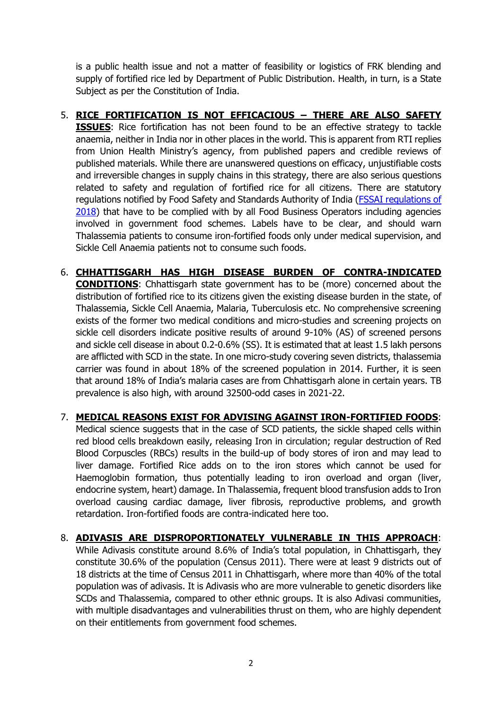is a public health issue and not a matter of feasibility or logistics of FRK blending and supply of fortified rice led by Department of Public Distribution. Health, in turn, is a State Subject as per the Constitution of India.

- 5. **RICE FORTIFICATION IS NOT EFFICACIOUS – THERE ARE ALSO SAFETY ISSUES**: Rice fortification has not been found to be an effective strategy to tackle anaemia, neither in India nor in other places in the world. This is apparent from RTI replies from Union Health Ministry's agency, from published papers and credible reviews of published materials. While there are unanswered questions on efficacy, unjustifiable costs and irreversible changes in supply chains in this strategy, there are also serious questions related to safety and regulation of fortified rice for all citizens. There are statutory regulations notified by Food Safety and Standards Authority of India (FSSAI [regulations of](https://www.fssai.gov.in/upload/uploadfiles/files/Compendium_Food_Fortification_Regulations_30_09_2021.pdf)  [2018\)](https://www.fssai.gov.in/upload/uploadfiles/files/Compendium_Food_Fortification_Regulations_30_09_2021.pdf) that have to be complied with by all Food Business Operators including agencies involved in government food schemes. Labels have to be clear, and should warn Thalassemia patients to consume iron-fortified foods only under medical supervision, and Sickle Cell Anaemia patients not to consume such foods.
- 6. **CHHATTISGARH HAS HIGH DISEASE BURDEN OF CONTRA-INDICATED CONDITIONS**: Chhattisgarh state government has to be (more) concerned about the distribution of fortified rice to its citizens given the existing disease burden in the state, of Thalassemia, Sickle Cell Anaemia, Malaria, Tuberculosis etc. No comprehensive screening exists of the former two medical conditions and micro-studies and screening projects on sickle cell disorders indicate positive results of around 9-10% (AS) of screened persons and sickle cell disease in about 0.2-0.6% (SS). It is estimated that at least 1.5 lakh persons are afflicted with SCD in the state. In one micro-study covering seven districts, thalassemia carrier was found in about 18% of the screened population in 2014. Further, it is seen that around 18% of India's malaria cases are from Chhattisgarh alone in certain years. TB prevalence is also high, with around 32500-odd cases in 2021-22.
- 7. **MEDICAL REASONS EXIST FOR ADVISING AGAINST IRON-FORTIFIED FOODS**: Medical science suggests that in the case of SCD patients, the sickle shaped cells within red blood cells breakdown easily, releasing Iron in circulation; regular destruction of Red Blood Corpuscles (RBCs) results in the build-up of body stores of iron and may lead to liver damage. Fortified Rice adds on to the iron stores which cannot be used for Haemoglobin formation, thus potentially leading to iron overload and organ (liver, endocrine system, heart) damage. In Thalassemia, frequent blood transfusion adds to Iron overload causing cardiac damage, liver fibrosis, reproductive problems, and growth retardation. Iron-fortified foods are contra-indicated here too.
- 8. **ADIVASIS ARE DISPROPORTIONATELY VULNERABLE IN THIS APPROACH**: While Adivasis constitute around 8.6% of India's total population, in Chhattisgarh, they constitute 30.6% of the population (Census 2011). There were at least 9 districts out of 18 districts at the time of Census 2011 in Chhattisgarh, where more than 40% of the total population was of adivasis. It is Adivasis who are more vulnerable to genetic disorders like SCDs and Thalassemia, compared to other ethnic groups. It is also Adivasi communities, with multiple disadvantages and vulnerabilities thrust on them, who are highly dependent on their entitlements from government food schemes.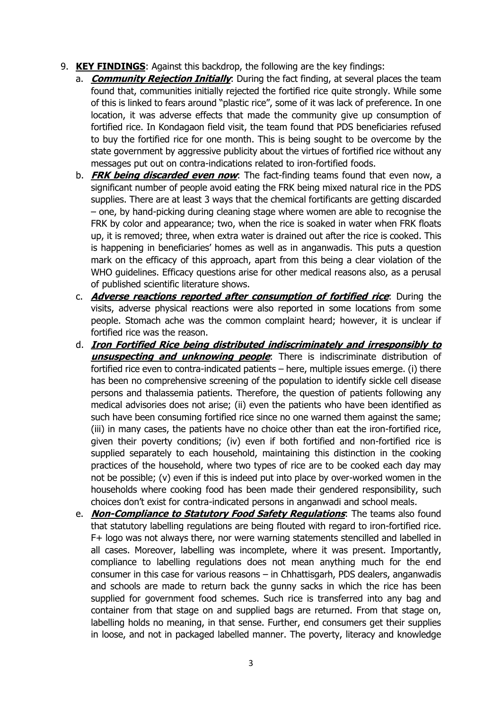- 9. **KEY FINDINGS**: Against this backdrop, the following are the key findings:
	- a. **Community Rejection Initially**: During the fact finding, at several places the team found that, communities initially rejected the fortified rice quite strongly. While some of this is linked to fears around "plastic rice", some of it was lack of preference. In one location, it was adverse effects that made the community give up consumption of fortified rice. In Kondagaon field visit, the team found that PDS beneficiaries refused to buy the fortified rice for one month. This is being sought to be overcome by the state government by aggressive publicity about the virtues of fortified rice without any messages put out on contra-indications related to iron-fortified foods.
	- b. **FRK being discarded even now**: The fact-finding teams found that even now, a significant number of people avoid eating the FRK being mixed natural rice in the PDS supplies. There are at least 3 ways that the chemical fortificants are getting discarded – one, by hand-picking during cleaning stage where women are able to recognise the FRK by color and appearance; two, when the rice is soaked in water when FRK floats up, it is removed; three, when extra water is drained out after the rice is cooked. This is happening in beneficiaries' homes as well as in anganwadis. This puts a question mark on the efficacy of this approach, apart from this being a clear violation of the WHO guidelines. Efficacy questions arise for other medical reasons also, as a perusal of published scientific literature shows.
	- c. **Adverse reactions reported after consumption of fortified rice**: During the visits, adverse physical reactions were also reported in some locations from some people. Stomach ache was the common complaint heard; however, it is unclear if fortified rice was the reason.
	- d. **Iron Fortified Rice being distributed indiscriminately and irresponsibly to unsuspecting and unknowing people**: There is indiscriminate distribution of fortified rice even to contra-indicated patients – here, multiple issues emerge. (i) there has been no comprehensive screening of the population to identify sickle cell disease persons and thalassemia patients. Therefore, the question of patients following any medical advisories does not arise; (ii) even the patients who have been identified as such have been consuming fortified rice since no one warned them against the same; (iii) in many cases, the patients have no choice other than eat the iron-fortified rice, given their poverty conditions; (iv) even if both fortified and non-fortified rice is supplied separately to each household, maintaining this distinction in the cooking practices of the household, where two types of rice are to be cooked each day may not be possible; (v) even if this is indeed put into place by over-worked women in the households where cooking food has been made their gendered responsibility, such choices don't exist for contra-indicated persons in anganwadi and school meals.
	- e. **Non-Compliance to Statutory Food Safety Regulations**: The teams also found that statutory labelling regulations are being flouted with regard to iron-fortified rice. F+ logo was not always there, nor were warning statements stencilled and labelled in all cases. Moreover, labelling was incomplete, where it was present. Importantly, compliance to labelling regulations does not mean anything much for the end consumer in this case for various reasons – in Chhattisgarh, PDS dealers, anganwadis and schools are made to return back the gunny sacks in which the rice has been supplied for government food schemes. Such rice is transferred into any bag and container from that stage on and supplied bags are returned. From that stage on, labelling holds no meaning, in that sense. Further, end consumers get their supplies in loose, and not in packaged labelled manner. The poverty, literacy and knowledge